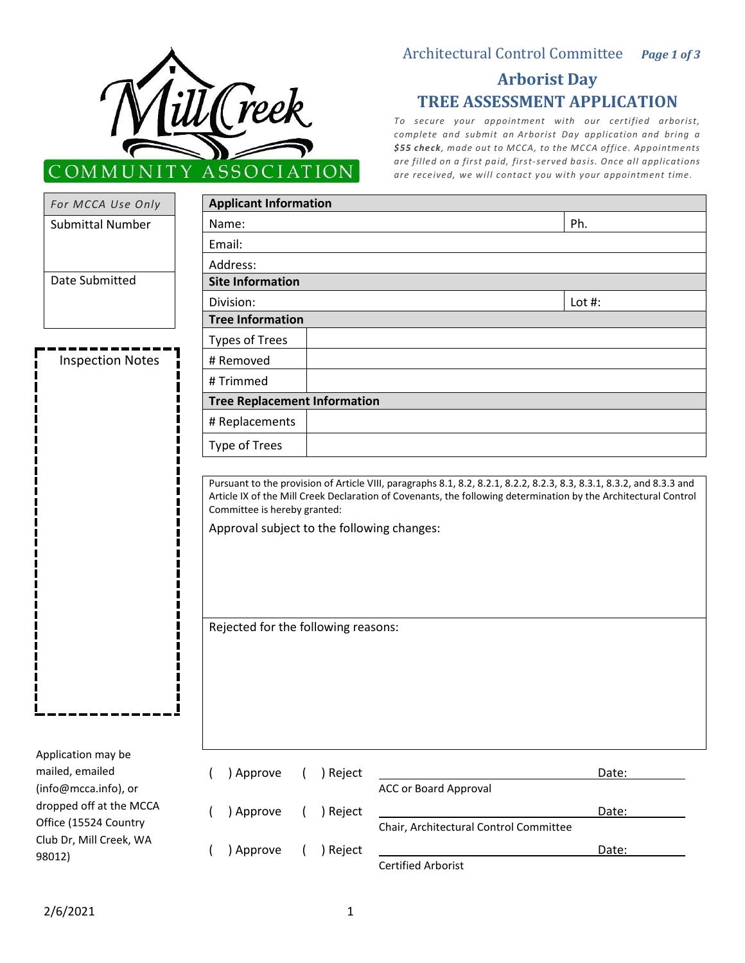

## Architectural Control Committee *Page 1 of 3*

# **Arborist Day TREE ASSESSMENT APPLICATION**

*To secure your appointment with our certified arborist, complete and submit an [Arborist Day application](http://mcca.info/wp-content/uploads/2020/01/Arborist-Day.pdf) and bring a \$55 check, made out to MCCA, to the MCCA office. Appointments are filled on a first paid, first-served basis. Once all applications are received, we will contact you with your appointment time.*

| For MCCA Use Only                                                                                                                                      |                                                                                                                   | <b>Applicant Information</b>                                                                                    |           |  |
|--------------------------------------------------------------------------------------------------------------------------------------------------------|-------------------------------------------------------------------------------------------------------------------|-----------------------------------------------------------------------------------------------------------------|-----------|--|
| <b>Submittal Number</b>                                                                                                                                | Name:                                                                                                             |                                                                                                                 | Ph.       |  |
|                                                                                                                                                        | Email:                                                                                                            |                                                                                                                 |           |  |
|                                                                                                                                                        | Address:                                                                                                          |                                                                                                                 |           |  |
| Date Submitted                                                                                                                                         | <b>Site Information</b>                                                                                           |                                                                                                                 |           |  |
|                                                                                                                                                        | Division:                                                                                                         |                                                                                                                 | Lot $#$ : |  |
|                                                                                                                                                        | <b>Tree Information</b>                                                                                           |                                                                                                                 |           |  |
|                                                                                                                                                        | <b>Types of Trees</b>                                                                                             |                                                                                                                 |           |  |
| <b>Inspection Notes</b>                                                                                                                                | # Removed                                                                                                         |                                                                                                                 |           |  |
|                                                                                                                                                        | # Trimmed                                                                                                         |                                                                                                                 |           |  |
|                                                                                                                                                        | <b>Tree Replacement Information</b>                                                                               |                                                                                                                 |           |  |
|                                                                                                                                                        | # Replacements                                                                                                    |                                                                                                                 |           |  |
|                                                                                                                                                        | Type of Trees                                                                                                     |                                                                                                                 |           |  |
|                                                                                                                                                        | Committee is hereby granted:<br>Approval subject to the following changes:<br>Rejected for the following reasons: | Article IX of the Mill Creek Declaration of Covenants, the following determination by the Architectural Control |           |  |
| Application may be<br>mailed, emailed<br>(info@mcca.info), or<br>dropped off at the MCCA<br>Office (15524 Country<br>Club Dr, Mill Creek, WA<br>98012) | ) Approve                                                                                                         | ) Reject<br><b>ACC or Board Approval</b>                                                                        | Date:     |  |
|                                                                                                                                                        | ) Approve                                                                                                         | ) Reject                                                                                                        | Date:     |  |
|                                                                                                                                                        |                                                                                                                   | Chair, Architectural Control Committee                                                                          |           |  |
|                                                                                                                                                        | ) Approve                                                                                                         | ) Reject<br><b>Certified Arborist</b>                                                                           | Date:     |  |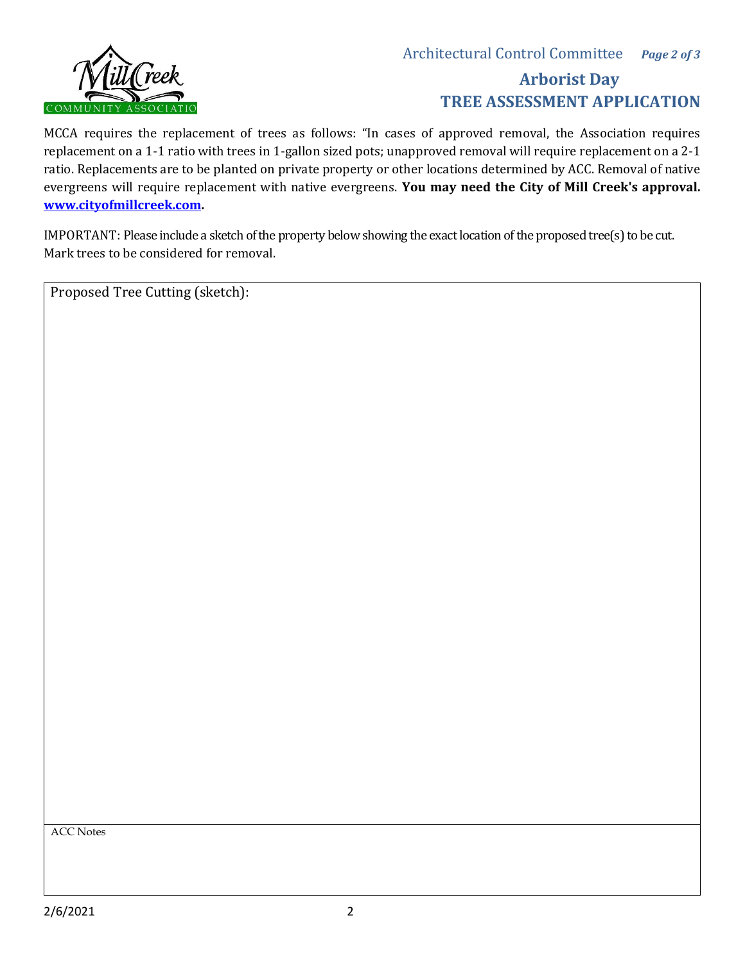

# **Arborist Day TREE ASSESSMENT APPLICATION**

MCCA requires the replacement of trees as follows: "In cases of approved removal, the Association requires replacement on a 1-1 ratio with trees in 1-gallon sized pots; unapproved removal will require replacement on a 2-1 ratio. Replacements are to be planted on private property or other locations determined by ACC. Removal of native evergreens will require replacement with native evergreens. **You may need the City of Mill Creek's approval. [www.cityofmillcreek.com.](http://www.cityofmillcreek.com/)** 

IMPORTANT: Please include a sketch of the property below showing the exact location of the proposed tree(s) to be cut. Mark trees to be considered for removal.

Proposed Tree Cutting (sketch):

ACC Notes